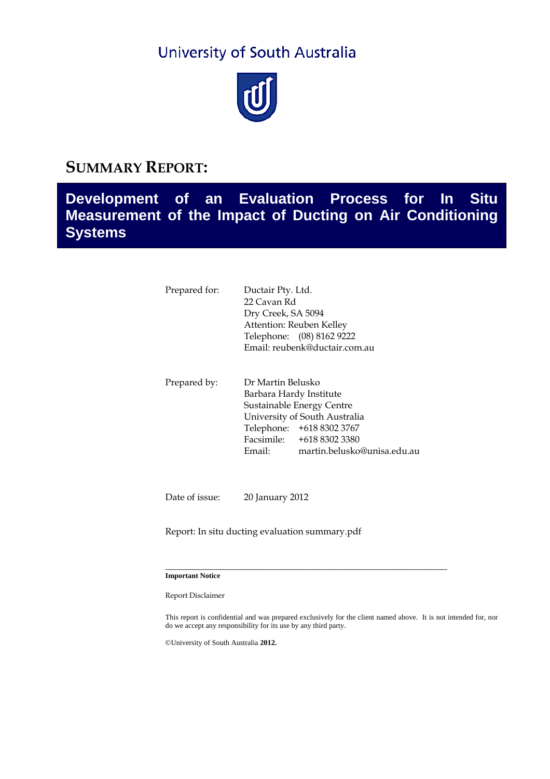# University of South Australia



### **SUMMARY REPORT:**

## **Development of an Evaluation Process for In Situ Measurement of the Impact of Ducting on Air Conditioning Systems**

| Prepared for: | Ductair Pty. Ltd.<br>22 Cavan Rd<br>Dry Creek, SA 5094<br>Attention: Reuben Kelley<br>Telephone: (08) 8162 9222<br>Email: reubenk@ductair.com.au |                                                                                                                                                     |
|---------------|--------------------------------------------------------------------------------------------------------------------------------------------------|-----------------------------------------------------------------------------------------------------------------------------------------------------|
| Prepared by:  | Dr Martin Belusko<br>Barbara Hardy Institute<br>Email:                                                                                           | Sustainable Energy Centre<br>University of South Australia<br>Telephone: +618 8302 3767<br>Facsimile: +618 8302 3380<br>martin.belusko@unisa.edu.au |

Date of issue: 20 January 2012

Report: In situ ducting evaluation summary.pdf

#### **Important Notice**

Report Disclaimer

This report is confidential and was prepared exclusively for the client named above. It is not intended for, nor do we accept any responsibility for its use by any third party.

\_\_\_\_\_\_\_\_\_\_\_\_\_\_\_\_\_\_\_\_\_\_\_\_\_\_\_\_\_\_\_\_\_\_\_\_\_\_\_\_\_\_\_\_\_\_\_\_\_\_\_\_\_\_\_\_\_\_\_\_\_

©University of South Australia **2012.**